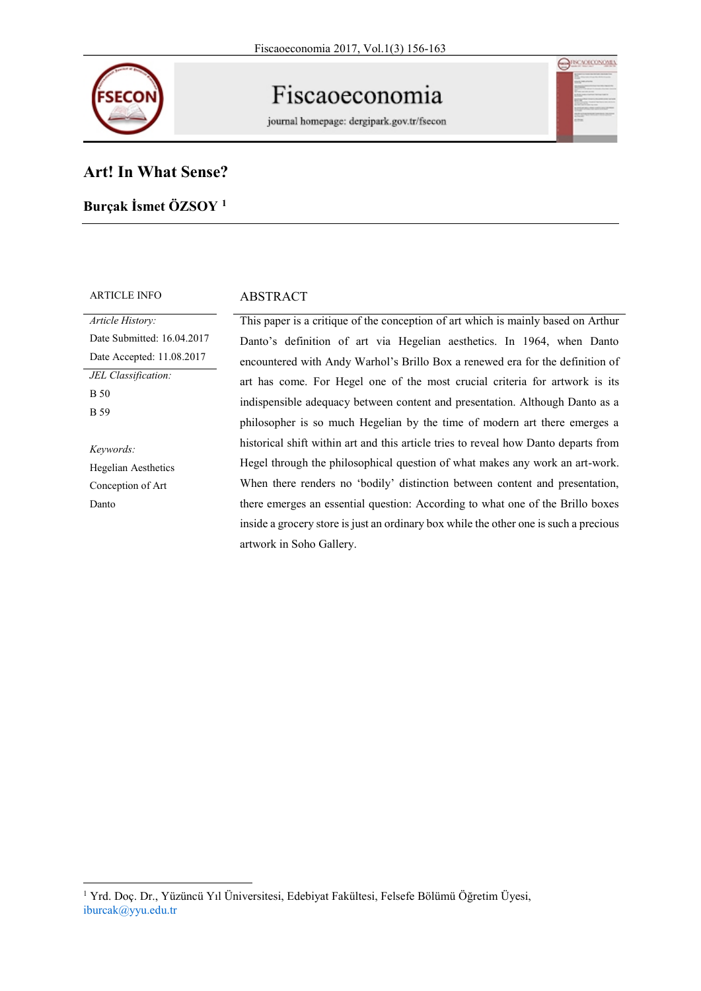

# Fiscaoeconomia

journal homepage: dergipark.gov.tr/fsecon

| XCON |    |
|------|----|
|      |    |
|      | i. |
|      |    |
|      |    |
|      | ۰  |
|      |    |
|      |    |
|      |    |
|      | ۰  |

# **Art! In What Sense?**

# **Burçak İsmet ÖZSOY <sup>1</sup>**

### ARTICLE INFO ABSTRACT

*Article History:* Date Submitted: 16.04.2017 Date Accepted: 11.08.2017 *JEL Classification:* B 50 B 59 *Keywords:* Hegelian Aesthetics

Conception of Art

Danto

This paper is a critique of the conception of art which is mainly based on Arthur Danto's definition of art via Hegelian aesthetics. In 1964, when Danto encountered with Andy Warhol's Brillo Box a renewed era for the definition of art has come. For Hegel one of the most crucial criteria for artwork is its indispensible adequacy between content and presentation. Although Danto as a philosopher is so much Hegelian by the time of modern art there emerges a historical shift within art and this article tries to reveal how Danto departs from Hegel through the philosophical question of what makes any work an art-work. When there renders no 'bodily' distinction between content and presentation, there emerges an essential question: According to what one of the Brillo boxes inside a grocery store is just an ordinary box while the other one is such a precious artwork in Soho Gallery.

<sup>1</sup> Yrd. Doç. Dr., Yüzüncü Yıl Üniversitesi, Edebiyat Fakültesi, Felsefe Bölümü Öğretim Üyesi, iburcak@yyu.edu.tr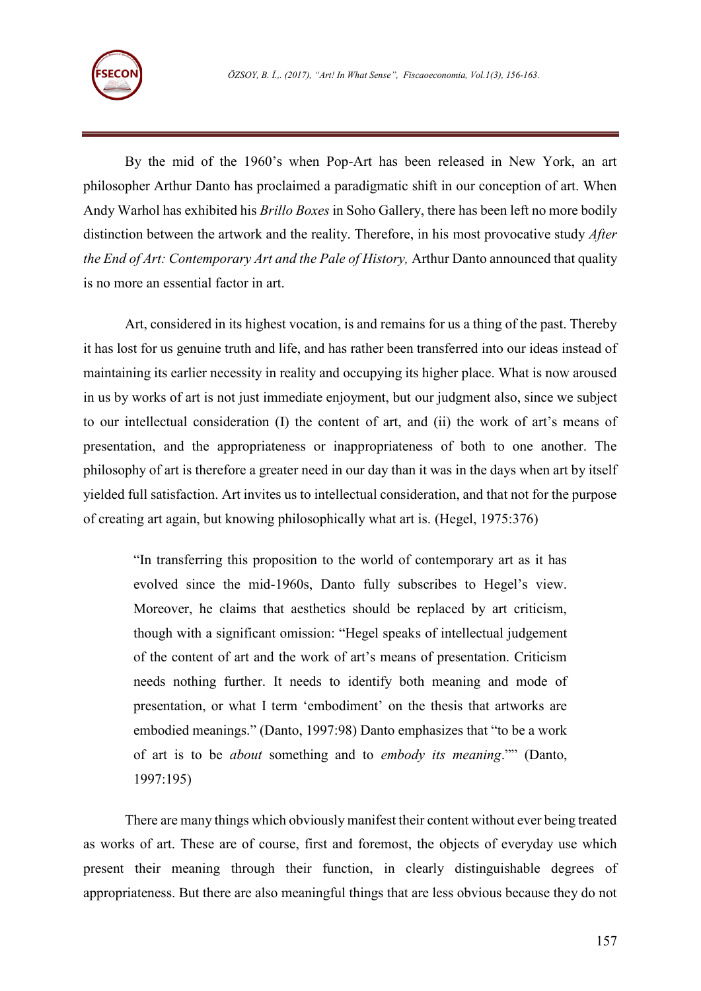

By the mid of the 1960's when Pop-Art has been released in New York, an art philosopher Arthur Danto has proclaimed a paradigmatic shift in our conception of art. When Andy Warhol has exhibited his *Brillo Boxes* in Soho Gallery, there has been left no more bodily distinction between the artwork and the reality. Therefore, in his most provocative study *After the End of Art: Contemporary Art and the Pale of History,* Arthur Danto announced that quality is no more an essential factor in art.

Art, considered in its highest vocation, is and remains for us a thing of the past. Thereby it has lost for us genuine truth and life, and has rather been transferred into our ideas instead of maintaining its earlier necessity in reality and occupying its higher place. What is now aroused in us by works of art is not just immediate enjoyment, but our judgment also, since we subject to our intellectual consideration (I) the content of art, and (ii) the work of art's means of presentation, and the appropriateness or inappropriateness of both to one another. The philosophy of art is therefore a greater need in our day than it was in the days when art by itself yielded full satisfaction. Art invites us to intellectual consideration, and that not for the purpose of creating art again, but knowing philosophically what art is. (Hegel, 1975:376)

"In transferring this proposition to the world of contemporary art as it has evolved since the mid-1960s, Danto fully subscribes to Hegel's view. Moreover, he claims that aesthetics should be replaced by art criticism, though with a significant omission: "Hegel speaks of intellectual judgement of the content of art and the work of art's means of presentation. Criticism needs nothing further. It needs to identify both meaning and mode of presentation, or what I term 'embodiment' on the thesis that artworks are embodied meanings." (Danto, 1997:98) Danto emphasizes that "to be a work of art is to be *about* something and to *embody its meaning*."" (Danto, 1997:195)

There are many things which obviously manifest their content without ever being treated as works of art. These are of course, first and foremost, the objects of everyday use which present their meaning through their function, in clearly distinguishable degrees of appropriateness. But there are also meaningful things that are less obvious because they do not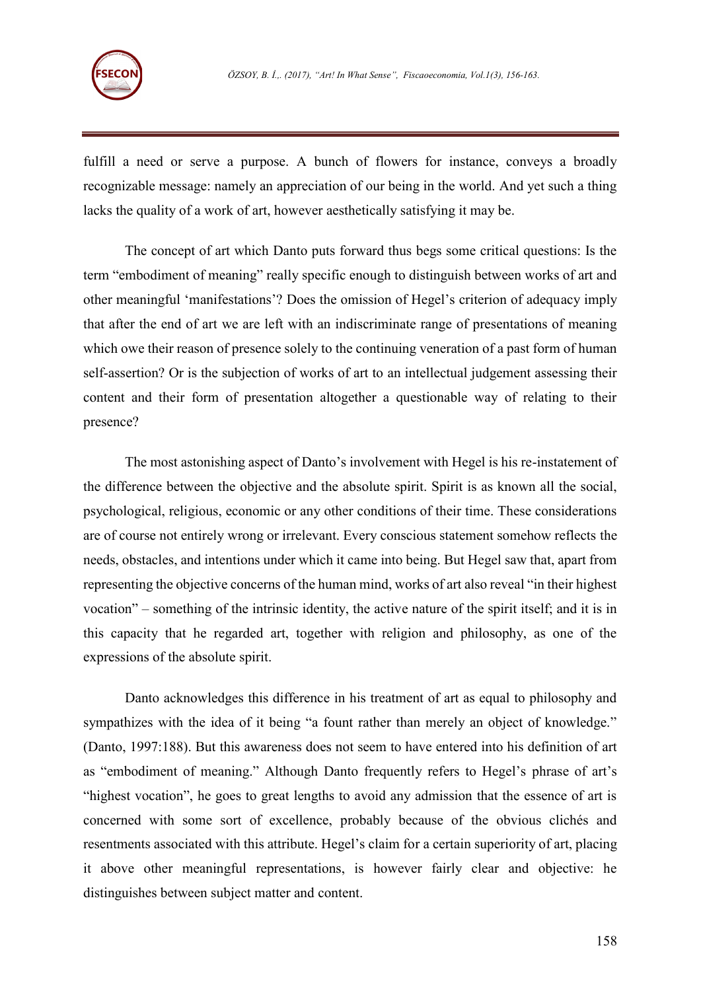

fulfill a need or serve a purpose. A bunch of flowers for instance, conveys a broadly recognizable message: namely an appreciation of our being in the world. And yet such a thing lacks the quality of a work of art, however aesthetically satisfying it may be.

The concept of art which Danto puts forward thus begs some critical questions: Is the term "embodiment of meaning" really specific enough to distinguish between works of art and other meaningful 'manifestations'? Does the omission of Hegel's criterion of adequacy imply that after the end of art we are left with an indiscriminate range of presentations of meaning which owe their reason of presence solely to the continuing veneration of a past form of human self-assertion? Or is the subjection of works of art to an intellectual judgement assessing their content and their form of presentation altogether a questionable way of relating to their presence?

The most astonishing aspect of Danto's involvement with Hegel is his re-instatement of the difference between the objective and the absolute spirit. Spirit is as known all the social, psychological, religious, economic or any other conditions of their time. These considerations are of course not entirely wrong or irrelevant. Every conscious statement somehow reflects the needs, obstacles, and intentions under which it came into being. But Hegel saw that, apart from representing the objective concerns of the human mind, works of art also reveal "in their highest vocation" – something of the intrinsic identity, the active nature of the spirit itself; and it is in this capacity that he regarded art, together with religion and philosophy, as one of the expressions of the absolute spirit.

Danto acknowledges this difference in his treatment of art as equal to philosophy and sympathizes with the idea of it being "a fount rather than merely an object of knowledge." (Danto, 1997:188). But this awareness does not seem to have entered into his definition of art as "embodiment of meaning." Although Danto frequently refers to Hegel's phrase of art's "highest vocation", he goes to great lengths to avoid any admission that the essence of art is concerned with some sort of excellence, probably because of the obvious clichés and resentments associated with this attribute. Hegel's claim for a certain superiority of art, placing it above other meaningful representations, is however fairly clear and objective: he distinguishes between subject matter and content.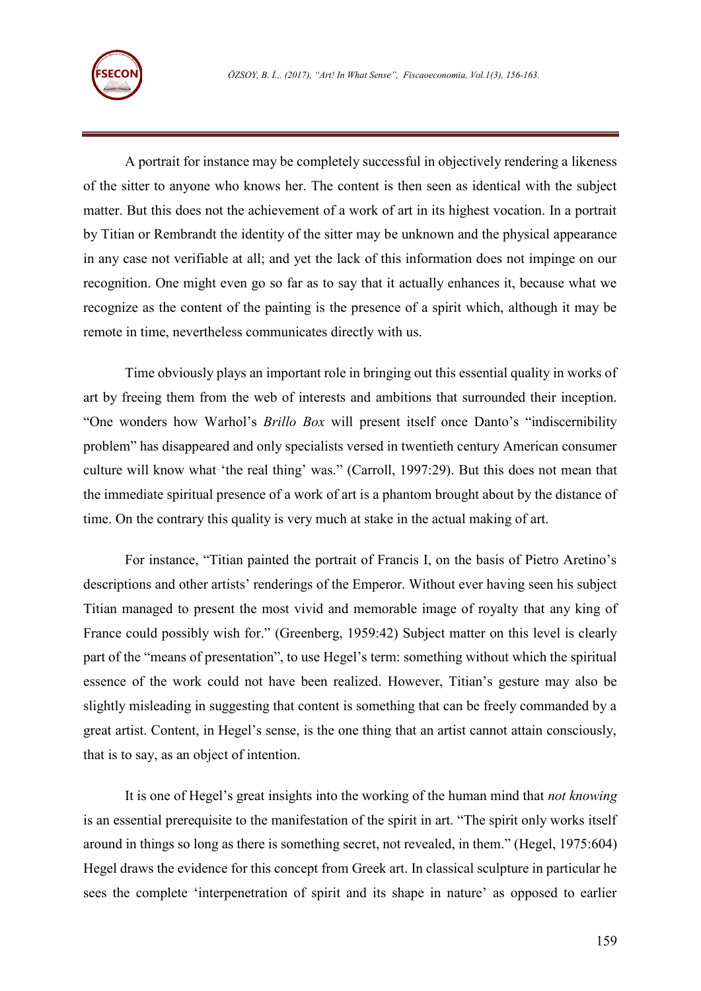

A portrait for instance may be completely successful in objectively rendering a likeness of the sitter to anyone who knows her. The content is then seen as identical with the subject matter. But this does not the achievement of a work of art in its highest vocation. In a portrait by Titian or Rembrandt the identity of the sitter may be unknown and the physical appearance in any case not verifiable at all; and yet the lack of this information does not impinge on our recognition. One might even go so far as to say that it actually enhances it, because what we recognize as the content of the painting is the presence of a spirit which, although it may be remote in time, nevertheless communicates directly with us.

Time obviously plays an important role in bringing out this essential quality in works of art by freeing them from the web of interests and ambitions that surrounded their inception. "One wonders how Warhol's *Brillo Box* will present itself once Danto's "indiscernibility problem" has disappeared and only specialists versed in twentieth century American consumer culture will know what 'the real thing' was." (Carroll, 1997:29). But this does not mean that the immediate spiritual presence of a work of art is a phantom brought about by the distance of time. On the contrary this quality is very much at stake in the actual making of art.

For instance, "Titian painted the portrait of Francis I, on the basis of Pietro Aretino's descriptions and other artists' renderings of the Emperor. Without ever having seen his subject Titian managed to present the most vivid and memorable image of royalty that any king of France could possibly wish for." (Greenberg, 1959:42) Subject matter on this level is clearly part of the "means of presentation", to use Hegel's term: something without which the spiritual essence of the work could not have been realized. However, Titian's gesture may also be slightly misleading in suggesting that content is something that can be freely commanded by a great artist. Content, in Hegel's sense, is the one thing that an artist cannot attain consciously, that is to say, as an object of intention.

It is one of Hegel's great insights into the working of the human mind that *not knowing* is an essential prerequisite to the manifestation of the spirit in art. "The spirit only works itself around in things so long as there is something secret, not revealed, in them." (Hegel, 1975:604) Hegel draws the evidence for this concept from Greek art. In classical sculpture in particular he sees the complete 'interpenetration of spirit and its shape in nature' as opposed to earlier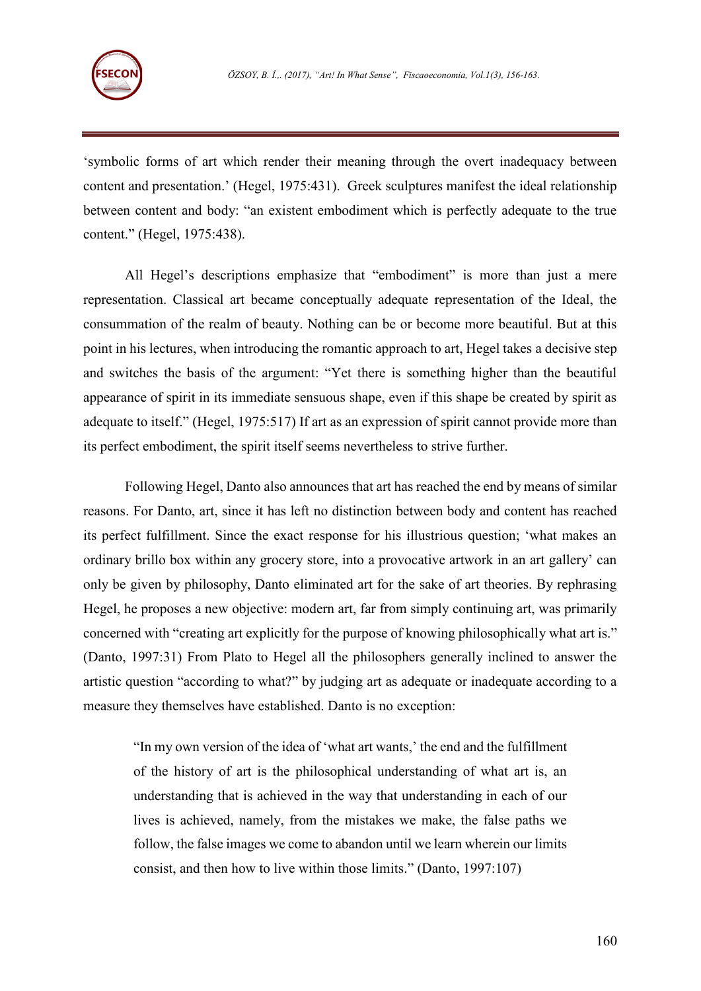

'symbolic forms of art which render their meaning through the overt inadequacy between content and presentation.' (Hegel, 1975:431). Greek sculptures manifest the ideal relationship between content and body: "an existent embodiment which is perfectly adequate to the true content." (Hegel, 1975:438).

All Hegel's descriptions emphasize that "embodiment" is more than just a mere representation. Classical art became conceptually adequate representation of the Ideal, the consummation of the realm of beauty. Nothing can be or become more beautiful. But at this point in his lectures, when introducing the romantic approach to art, Hegel takes a decisive step and switches the basis of the argument: "Yet there is something higher than the beautiful appearance of spirit in its immediate sensuous shape, even if this shape be created by spirit as adequate to itself." (Hegel, 1975:517) If art as an expression of spirit cannot provide more than its perfect embodiment, the spirit itself seems nevertheless to strive further.

Following Hegel, Danto also announces that art has reached the end by means of similar reasons. For Danto, art, since it has left no distinction between body and content has reached its perfect fulfillment. Since the exact response for his illustrious question; 'what makes an ordinary brillo box within any grocery store, into a provocative artwork in an art gallery' can only be given by philosophy, Danto eliminated art for the sake of art theories. By rephrasing Hegel, he proposes a new objective: modern art, far from simply continuing art, was primarily concerned with "creating art explicitly for the purpose of knowing philosophically what art is." (Danto, 1997:31) From Plato to Hegel all the philosophers generally inclined to answer the artistic question "according to what?" by judging art as adequate or inadequate according to a measure they themselves have established. Danto is no exception:

"In my own version of the idea of 'what art wants,' the end and the fulfillment of the history of art is the philosophical understanding of what art is, an understanding that is achieved in the way that understanding in each of our lives is achieved, namely, from the mistakes we make, the false paths we follow, the false images we come to abandon until we learn wherein our limits consist, and then how to live within those limits." (Danto, 1997:107)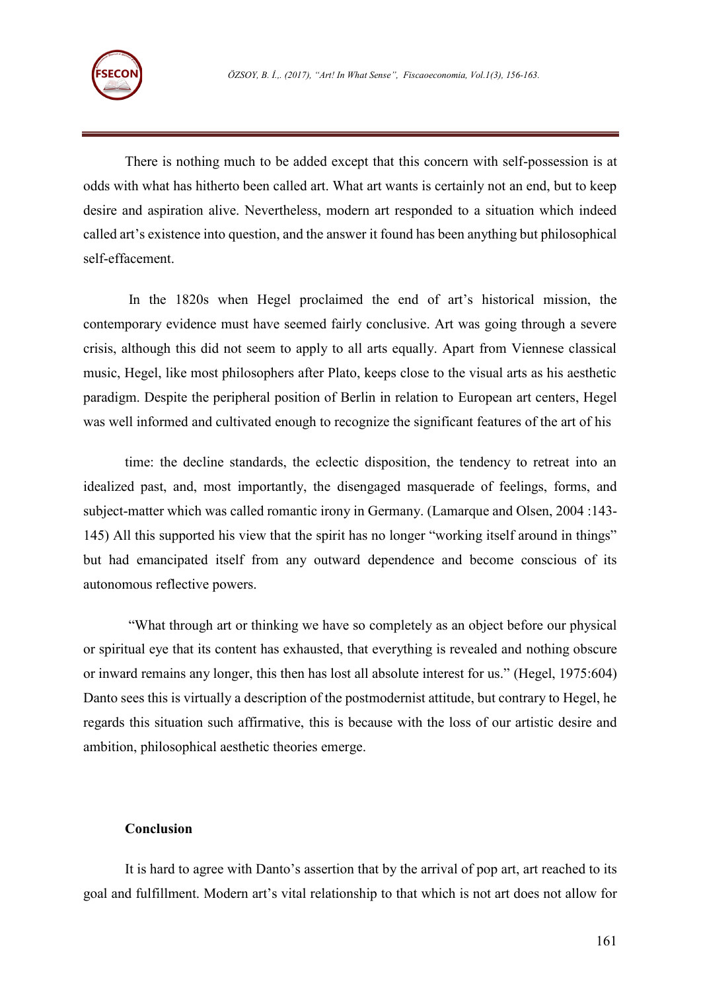

There is nothing much to be added except that this concern with self-possession is at odds with what has hitherto been called art. What art wants is certainly not an end, but to keep desire and aspiration alive. Nevertheless, modern art responded to a situation which indeed called art's existence into question, and the answer it found has been anything but philosophical self-effacement.

In the 1820s when Hegel proclaimed the end of art's historical mission, the contemporary evidence must have seemed fairly conclusive. Art was going through a severe crisis, although this did not seem to apply to all arts equally. Apart from Viennese classical music, Hegel, like most philosophers after Plato, keeps close to the visual arts as his aesthetic paradigm. Despite the peripheral position of Berlin in relation to European art centers, Hegel was well informed and cultivated enough to recognize the significant features of the art of his

time: the decline standards, the eclectic disposition, the tendency to retreat into an idealized past, and, most importantly, the disengaged masquerade of feelings, forms, and subject-matter which was called romantic irony in Germany. (Lamarque and Olsen, 2004 :143- 145) All this supported his view that the spirit has no longer "working itself around in things" but had emancipated itself from any outward dependence and become conscious of its autonomous reflective powers.

"What through art or thinking we have so completely as an object before our physical or spiritual eye that its content has exhausted, that everything is revealed and nothing obscure or inward remains any longer, this then has lost all absolute interest for us." (Hegel, 1975:604) Danto sees this is virtually a description of the postmodernist attitude, but contrary to Hegel, he regards this situation such affirmative, this is because with the loss of our artistic desire and ambition, philosophical aesthetic theories emerge.

## **Conclusion**

It is hard to agree with Danto's assertion that by the arrival of pop art, art reached to its goal and fulfillment. Modern art's vital relationship to that which is not art does not allow for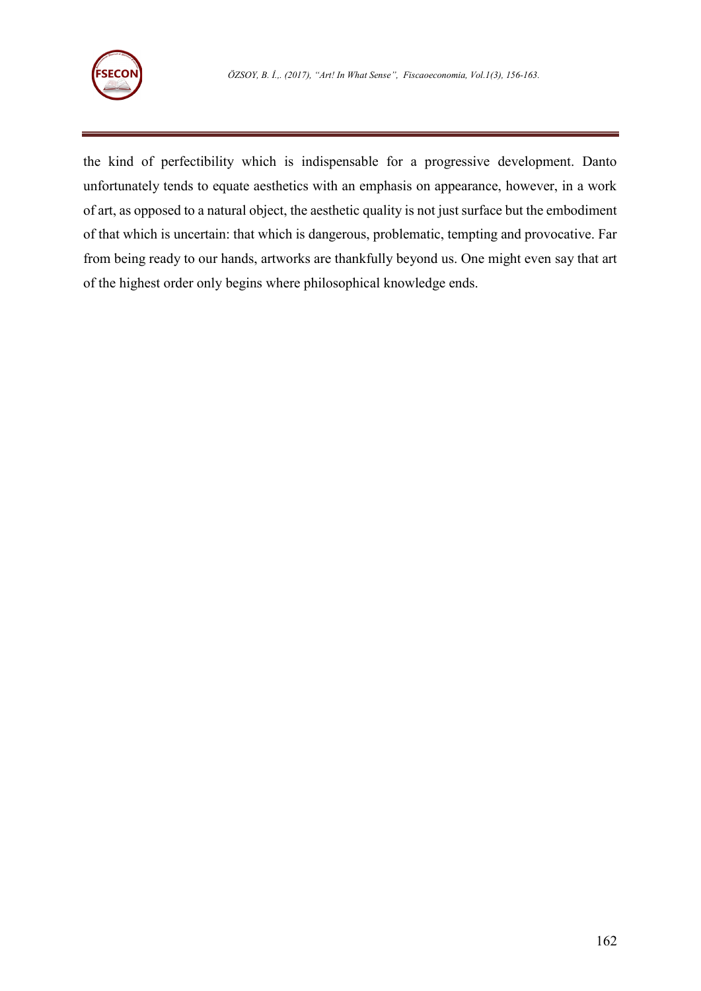

the kind of perfectibility which is indispensable for a progressive development. Danto unfortunately tends to equate aesthetics with an emphasis on appearance, however, in a work of art, as opposed to a natural object, the aesthetic quality is not just surface but the embodiment of that which is uncertain: that which is dangerous, problematic, tempting and provocative. Far from being ready to our hands, artworks are thankfully beyond us. One might even say that art of the highest order only begins where philosophical knowledge ends.